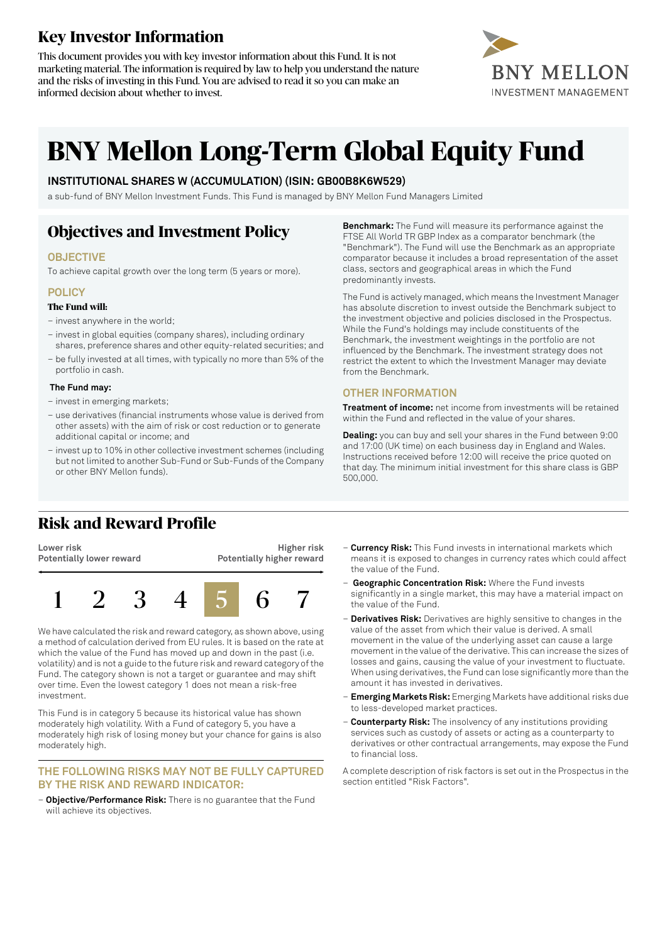# **Key Investor Information**

This document provides you with key investor information about this Fund. It is not marketing material. The information is required by law to help you understand the nature and the risks of investing in this Fund. You are advised to read it so you can make an informed decision about whether to invest.



# **BNY Mellon Long-Term Global Equity Fund**

### **INSTITUTIONAL SHARES W (ACCUMULATION) (ISIN: GB00B8K6W529)**

a sub-fund of BNY Mellon Investment Funds. This Fund is managed by BNY Mellon Fund Managers Limited

# **Objectives and Investment Policy**

### **OBJECTIVE**

To achieve capital growth over the long term (5 years or more).

### **POLICY**

### **The Fund will:**

- invest anywhere in the world;
- invest in global equities (company shares), including ordinary shares, preference shares and other equity-related securities; and
- be fully invested at all times, with typically no more than 5% of the portfolio in cash.

### **The Fund may:**

- invest in emerging markets;
- use derivatives (financial instruments whose value is derived from other assets) with the aim of risk or cost reduction or to generate additional capital or income; and
- invest up to 10% in other collective investment schemes (including but not limited to another Sub-Fund or Sub-Funds of the Company or other BNY Mellon funds).

**Benchmark:** The Fund will measure its performance against the FTSE All World TR GBP Index as a comparator benchmark (the "Benchmark"). The Fund will use the Benchmark as an appropriate comparator because it includes a broad representation of the asset class, sectors and geographical areas in which the Fund predominantly invests.

The Fund is actively managed, which means the Investment Manager has absolute discretion to invest outside the Benchmark subject to the investment objective and policies disclosed in the Prospectus. While the Fund's holdings may include constituents of the Benchmark, the investment weightings in the portfolio are not influenced by the Benchmark. The investment strategy does not restrict the extent to which the Investment Manager may deviate from the Benchmark.

### **OTHER INFORMATION**

**Treatment of income:** net income from investments will be retained within the Fund and reflected in the value of your shares.

**Dealing:** you can buy and sell your shares in the Fund between 9:00 and 17:00 (UK time) on each business day in England and Wales. Instructions received before 12:00 will receive the price quoted on that day. The minimum initial investment for this share class is GBP 500,000.

### **Risk and Reward Profile**

**Lower risk Potentially lower reward**

**Higher risk Potentially higher reward**



We have calculated the risk and reward category, as shown above, using a method of calculation derived from EU rules. It is based on the rate at which the value of the Fund has moved up and down in the past (i.e. volatility) and is not a guide to the future risk and reward category ofthe Fund. The category shown is not a target or guarantee and may shift over time. Even the lowest category 1 does not mean a risk-free investment.

This Fund is in category 5 because its historical value has shown moderately high volatility. With a Fund of category 5, you have a moderately high risk of losing money but your chance for gains is also moderately high.

#### **THE FOLLOWING RISKS MAY NOT BE FULLY CAPTURED BY THE RISK AND REWARD INDICATOR:**

– **Objective/Performance Risk:** There is no guarantee that the Fund will achieve its objectives.

- **Currency Risk:** This Fund invests in international markets which means it is exposed to changes in currency rates which could affect the value of the Fund.
- **Geographic Concentration Risk:** Where the Fund invests significantly in a single market, this may have a material impact on the value of the Fund.
- **Derivatives Risk:** Derivatives are highly sensitive to changes in the value of the asset from which their value is derived. A small movement in the value of the underlying asset can cause a large movement in the value of the derivative. This can increase the sizes of losses and gains, causing the value of your investment to fluctuate. When using derivatives, the Fund can lose significantly more than the amount it has invested in derivatives.
- **Emerging Markets Risk:** Emerging Markets have additional risks due to less-developed market practices.
- **Counterparty Risk:** The insolvency of any institutions providing services such as custody of assets or acting as a counterparty to derivatives or other contractual arrangements, may expose the Fund to financial loss.

A complete description of risk factors is set out in the Prospectus in the section entitled "Risk Factors".